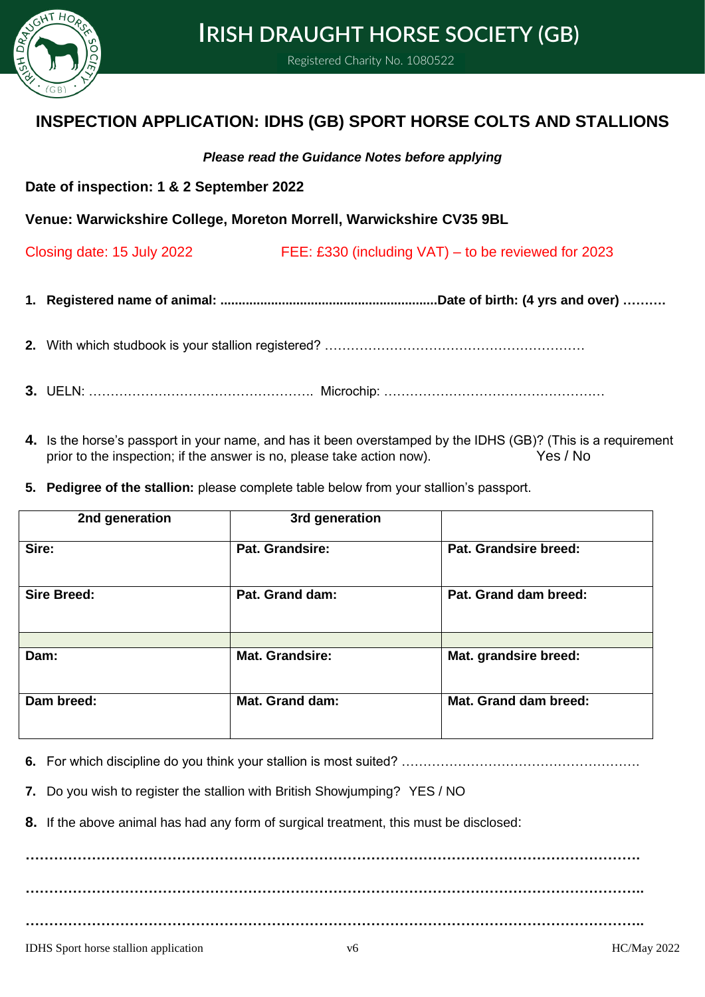

# **IRISH DRAUGHT HORSE SOCIETY (GB)**

Registered Charity No. 1080522

# **INSPECTION APPLICATION: IDHS (GB) SPORT HORSE COLTS AND STALLIONS**

### *Please read the Guidance Notes before applying*

**Date of inspection: 1 & 2 September 2022**

**Venue: Warwickshire College, Moreton Morrell, Warwickshire CV35 9BL**

Closing date: 15 July 2022 FEE: £330 (including VAT) – to be reviewed for 2023

**1. Registered name of animal: ............................................................Date of birth: (4 yrs and over) ……….**

**2.** With which studbook is your stallion registered? ……………………………………………………

- **3.** UELN: ……………………………………………. Microchip: ……………………………………………
- **4.** Is the horse's passport in your name, and has it been overstamped by the IDHS (GB)? (This is a requirement prior to the inspection; if the answer is no, please take action now). Yes / No
- **5. Pedigree of the stallion:** please complete table below from your stallion's passport.

| 2nd generation     | 3rd generation         |                       |
|--------------------|------------------------|-----------------------|
| Sire:              | Pat. Grandsire:        | Pat. Grandsire breed: |
| <b>Sire Breed:</b> | Pat. Grand dam:        | Pat. Grand dam breed: |
| Dam:               | <b>Mat. Grandsire:</b> | Mat. grandsire breed: |
| Dam breed:         | Mat. Grand dam:        | Mat. Grand dam breed: |

**6.** For which discipline do you think your stallion is most suited? ……………………………………………….

**7.** Do you wish to register the stallion with British Showjumping? YES / NO

**8.** If the above animal has had any form of surgical treatment, this must be disclosed:

**…………………………………………………………………………………………………………………. ………………………………………………………………………………………………………………….. …………………………………………………………………………………………………………………..**

IDHS Sport horse stallion application v6 HC/May 2022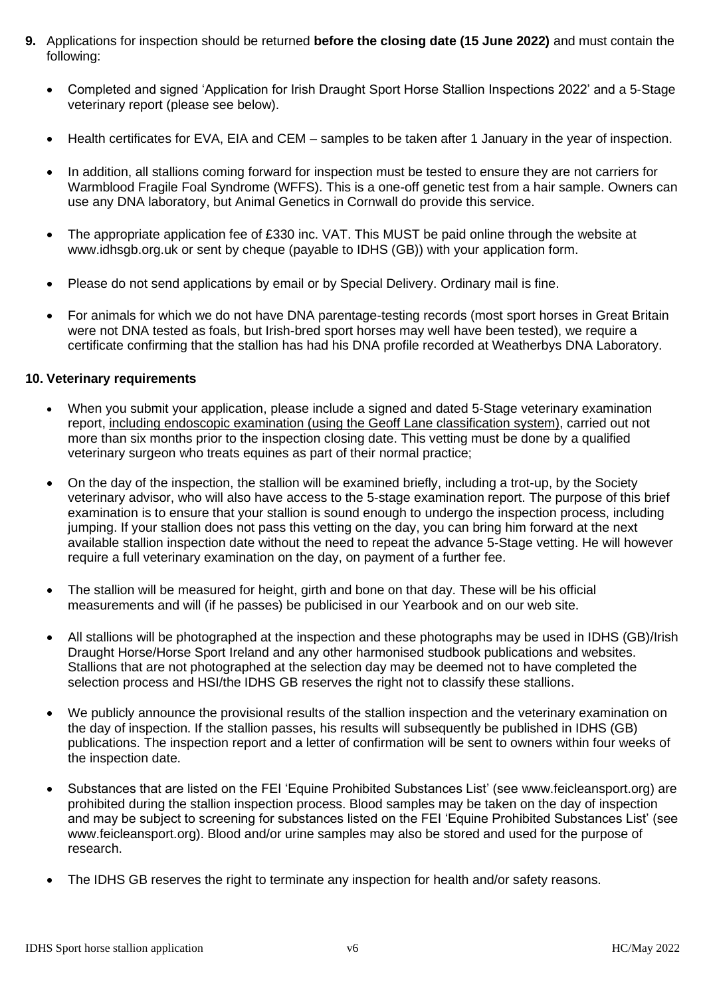- **9.** Applications for inspection should be returned **before the closing date (15 June 2022)** and must contain the following:
	- Completed and signed 'Application for Irish Draught Sport Horse Stallion Inspections 2022' and a 5-Stage veterinary report (please see below).
	- Health certificates for EVA, EIA and CEM samples to be taken after 1 January in the year of inspection.
	- In addition, all stallions coming forward for inspection must be tested to ensure they are not carriers for Warmblood Fragile Foal Syndrome (WFFS). This is a one-off genetic test from a hair sample. Owners can use any DNA laboratory, but Animal Genetics in Cornwall do provide this service.
	- The appropriate application fee of £330 inc. VAT. This MUST be paid online through the website at [www.idhsgb.org.uk](http://www.idhsgb.org.uk/) or sent by cheque (payable to IDHS (GB)) with your application form.
	- Please do not send applications by email or by Special Delivery. Ordinary mail is fine.
	- For animals for which we do not have DNA parentage-testing records (most sport horses in Great Britain were not DNA tested as foals, but Irish-bred sport horses may well have been tested), we require a certificate confirming that the stallion has had his DNA profile recorded at Weatherbys DNA Laboratory.

#### **10. Veterinary requirements**

- When you submit your application, please include a signed and dated 5-Stage veterinary examination report, including endoscopic examination (using the Geoff Lane classification system), carried out not more than six months prior to the inspection closing date. This vetting must be done by a qualified veterinary surgeon who treats equines as part of their normal practice;
- On the day of the inspection, the stallion will be examined briefly, including a trot-up, by the Society veterinary advisor, who will also have access to the 5-stage examination report. The purpose of this brief examination is to ensure that your stallion is sound enough to undergo the inspection process, including jumping. If your stallion does not pass this vetting on the day, you can bring him forward at the next available stallion inspection date without the need to repeat the advance 5-Stage vetting. He will however require a full veterinary examination on the day, on payment of a further fee.
- The stallion will be measured for height, girth and bone on that day. These will be his official measurements and will (if he passes) be publicised in our Yearbook and on our web site.
- All stallions will be photographed at the inspection and these photographs may be used in IDHS (GB)/Irish Draught Horse/Horse Sport Ireland and any other harmonised studbook publications and websites. Stallions that are not photographed at the selection day may be deemed not to have completed the selection process and HSI/the IDHS GB reserves the right not to classify these stallions.
- We publicly announce the provisional results of the stallion inspection and the veterinary examination on the day of inspection. If the stallion passes, his results will subsequently be published in IDHS (GB) publications. The inspection report and a letter of confirmation will be sent to owners within four weeks of the inspection date.
- Substances that are listed on the FEI 'Equine Prohibited Substances List' (see [www.feicleansport.org\)](http://www.feicleansport.org/) are prohibited during the stallion inspection process. Blood samples may be taken on the day of inspection and may be subject to screening for substances listed on the FEI 'Equine Prohibited Substances List' (see [www.feicleansport.org\)](http://www.feicleansport.org/). Blood and/or urine samples may also be stored and used for the purpose of research.
- The IDHS GB reserves the right to terminate any inspection for health and/or safety reasons.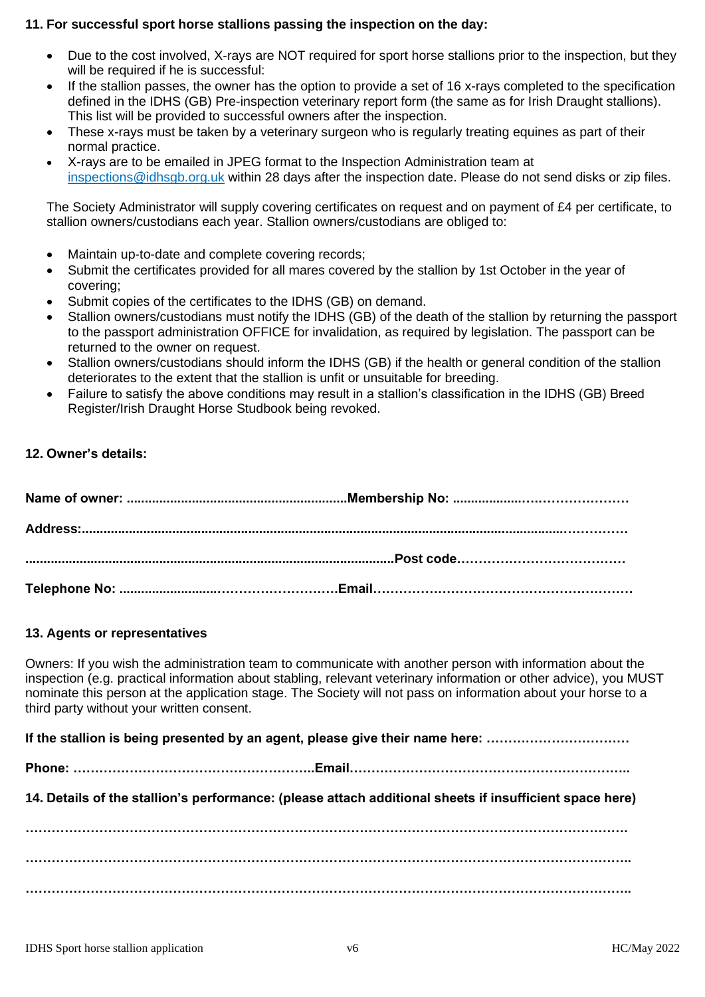# **11. For successful sport horse stallions passing the inspection on the day:**

- Due to the cost involved, X-rays are NOT required for sport horse stallions prior to the inspection, but they will be required if he is successful:
- If the stallion passes, the owner has the option to provide a set of 16 x-rays completed to the specification defined in the IDHS (GB) Pre-inspection veterinary report form (the same as for Irish Draught stallions). This list will be provided to successful owners after the inspection.
- These x-rays must be taken by a veterinary surgeon who is regularly treating equines as part of their normal practice.
- X-rays are to be emailed in JPEG format to the Inspection Administration team at [inspections@idhsgb.org.uk](mailto:inspections@idhsgb.org.uk) within 28 days after the inspection date. Please do not send disks or zip files.

The Society Administrator will supply covering certificates on request and on payment of £4 per certificate, to stallion owners/custodians each year. Stallion owners/custodians are obliged to:

- Maintain up-to-date and complete covering records;
- Submit the certificates provided for all mares covered by the stallion by 1st October in the year of covering;
- Submit copies of the certificates to the IDHS (GB) on demand.
- Stallion owners/custodians must notify the IDHS (GB) of the death of the stallion by returning the passport to the passport administration OFFICE for invalidation, as required by legislation. The passport can be returned to the owner on request.
- Stallion owners/custodians should inform the IDHS (GB) if the health or general condition of the stallion deteriorates to the extent that the stallion is unfit or unsuitable for breeding.
- Failure to satisfy the above conditions may result in a stallion's classification in the IDHS (GB) Breed Register/Irish Draught Horse Studbook being revoked.

#### **12. Owner's details:**

#### **13. Agents or representatives**

Owners: If you wish the administration team to communicate with another person with information about the inspection (e.g. practical information about stabling, relevant veterinary information or other advice), you MUST nominate this person at the application stage. The Society will not pass on information about your horse to a third party without your written consent.

**If the stallion is being presented by an agent, please give their name here: ……………………………**

**Phone: ………………………………………………..Email………………………………………………………..** 

**14. Details of the stallion's performance: (please attach additional sheets if insufficient space here)**

**…………………………………………………………………………………………………………………………. ………………………………………………………………………………………………………………………….. …………………………………………………………………………………………………………………………..**